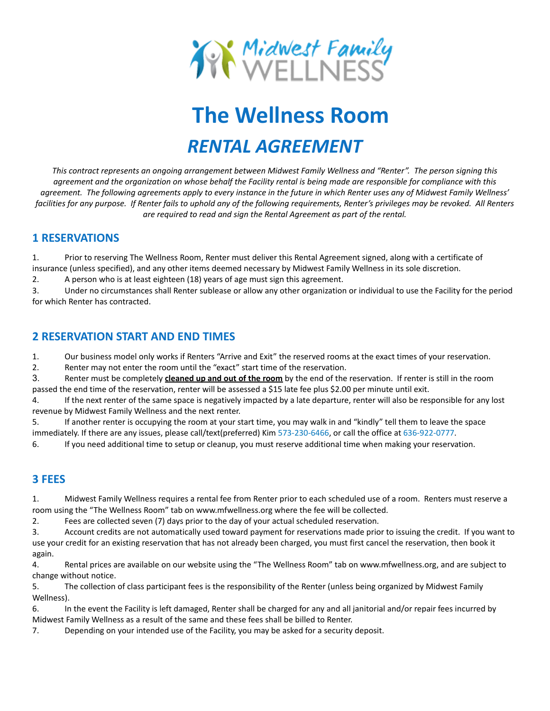

# **The Wellness Room** *RENTAL AGREEMENT*

*This contract represents an ongoing arrangement between Midwest Family Wellness and "Renter". The person signing this agreement and the organization on whose behalf the Facility rental is being made are responsible for compliance with this agreement. The following agreements apply to every instance in the future in which Renter uses any of Midwest Family Wellness' facilities for any purpose. If Renter fails to uphold any of the following requirements, Renter's privileges may be revoked. All Renters are required to read and sign the Rental Agreement as part of the rental.*

### **1 RESERVATIONS**

1. Prior to reserving The Wellness Room, Renter must deliver this Rental Agreement signed, along with a certificate of insurance (unless specified), and any other items deemed necessary by Midwest Family Wellness in its sole discretion.

2. A person who is at least eighteen (18) years of age must sign this agreement.

3. Under no circumstances shall Renter sublease or allow any other organization or individual to use the Facility for the period for which Renter has contracted.

# **2 RESERVATION START AND END TIMES**

1. Our business model only works if Renters "Arrive and Exit" the reserved rooms at the exact times of your reservation.

2. Renter may not enter the room until the "exact" start time of the reservation.

3. Renter must be completely **cleaned up and out of the room** by the end of the reservation. If renter is still in the room passed the end time of the reservation, renter will be assessed a \$15 late fee plus \$2.00 per minute until exit.

4. If the next renter of the same space is negatively impacted by a late departure, renter will also be responsible for any lost revenue by Midwest Family Wellness and the next renter.

5. If another renter is occupying the room at your start time, you may walk in and "kindly" tell them to leave the space immediately. If there are any issues, please call/text(preferred) Kim 573-230-6466, or call the office at 636-922-0777.

6. If you need additional time to setup or cleanup, you must reserve additional time when making your reservation.

# **3 FEES**

1. Midwest Family Wellness requires a rental fee from Renter prior to each scheduled use of a room. Renters must reserve a room using the "The Wellness Room" tab on www.mfwellness.org where the fee will be collected.

2. Fees are collected seven (7) days prior to the day of your actual scheduled reservation.

3. Account credits are not automatically used toward payment for reservations made prior to issuing the credit. If you want to use your credit for an existing reservation that has not already been charged, you must first cancel the reservation, then book it again.

4. Rental prices are available on our website using the "The Wellness Room" tab on www.mfwellness.org, and are subject to change without notice.

5. The collection of class participant fees is the responsibility of the Renter (unless being organized by Midwest Family Wellness).

6. In the event the Facility is left damaged, Renter shall be charged for any and all janitorial and/or repair fees incurred by Midwest Family Wellness as a result of the same and these fees shall be billed to Renter.

7. Depending on your intended use of the Facility, you may be asked for a security deposit.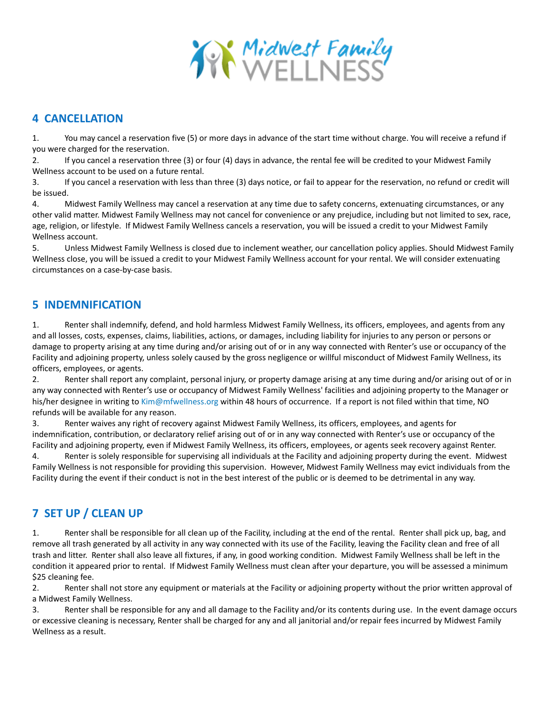

## **4 CANCELLATION**

1. You may cancel a reservation five (5) or more days in advance of the start time without charge. You will receive a refund if you were charged for the reservation.

2. If you cancel a reservation three (3) or four (4) days in advance, the rental fee will be credited to your Midwest Family Wellness account to be used on a future rental.

3. If you cancel a reservation with less than three (3) days notice, or fail to appear for the reservation, no refund or credit will be issued.

4. Midwest Family Wellness may cancel a reservation at any time due to safety concerns, extenuating circumstances, or any other valid matter. Midwest Family Wellness may not cancel for convenience or any prejudice, including but not limited to sex, race, age, religion, or lifestyle. If Midwest Family Wellness cancels a reservation, you will be issued a credit to your Midwest Family Wellness account.

5. Unless Midwest Family Wellness is closed due to inclement weather, our cancellation policy applies. Should Midwest Family Wellness close, you will be issued a credit to your Midwest Family Wellness account for your rental. We will consider extenuating circumstances on a case-by-case basis.

## **5 INDEMNIFICATION**

1. Renter shall indemnify, defend, and hold harmless Midwest Family Wellness, its officers, employees, and agents from any and all losses, costs, expenses, claims, liabilities, actions, or damages, including liability for injuries to any person or persons or damage to property arising at any time during and/or arising out of or in any way connected with Renter's use or occupancy of the Facility and adjoining property, unless solely caused by the gross negligence or willful misconduct of Midwest Family Wellness, its officers, employees, or agents.

2. Renter shall report any complaint, personal injury, or property damage arising at any time during and/or arising out of or in any way connected with Renter's use or occupancy of Midwest Family Wellness' facilities and adjoining property to the Manager or his/her designee in writing to Kim@mfwellness.org within 48 hours of occurrence. If a report is not filed within that time, NO refunds will be available for any reason.

3. Renter waives any right of recovery against Midwest Family Wellness, its officers, employees, and agents for indemnification, contribution, or declaratory relief arising out of or in any way connected with Renter's use or occupancy of the Facility and adjoining property, even if Midwest Family Wellness, its officers, employees, or agents seek recovery against Renter.

4. Renter is solely responsible for supervising all individuals at the Facility and adjoining property during the event. Midwest Family Wellness is not responsible for providing this supervision. However, Midwest Family Wellness may evict individuals from the Facility during the event if their conduct is not in the best interest of the public or is deemed to be detrimental in any way.

# **7 SET UP / CLEAN UP**

1. Renter shall be responsible for all clean up of the Facility, including at the end of the rental. Renter shall pick up, bag, and remove all trash generated by all activity in any way connected with its use of the Facility, leaving the Facility clean and free of all trash and litter. Renter shall also leave all fixtures, if any, in good working condition. Midwest Family Wellness shall be left in the condition it appeared prior to rental. If Midwest Family Wellness must clean after your departure, you will be assessed a minimum \$25 cleaning fee.

2. Renter shall not store any equipment or materials at the Facility or adjoining property without the prior written approval of a Midwest Family Wellness.

3. Renter shall be responsible for any and all damage to the Facility and/or its contents during use. In the event damage occurs or excessive cleaning is necessary, Renter shall be charged for any and all janitorial and/or repair fees incurred by Midwest Family Wellness as a result.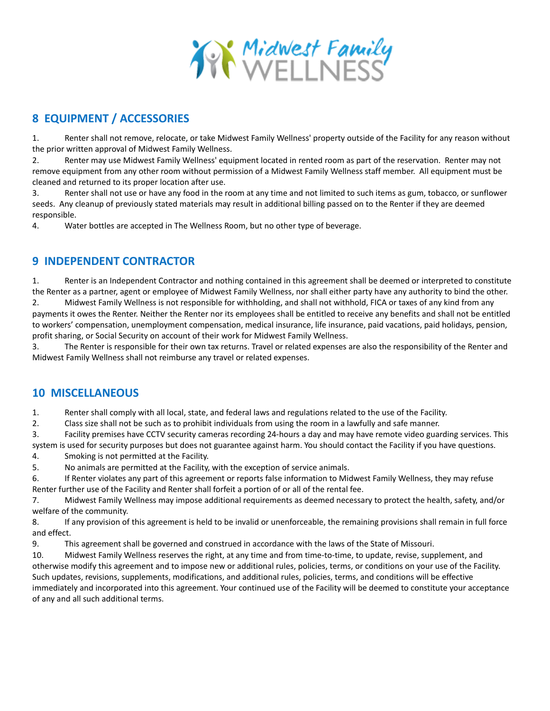

# **8 EQUIPMENT / ACCESSORIES**

1. Renter shall not remove, relocate, or take Midwest Family Wellness' property outside of the Facility for any reason without the prior written approval of Midwest Family Wellness.

2. Renter may use Midwest Family Wellness' equipment located in rented room as part of the reservation. Renter may not remove equipment from any other room without permission of a Midwest Family Wellness staff member. All equipment must be cleaned and returned to its proper location after use.

3. Renter shall not use or have any food in the room at any time and not limited to such items as gum, tobacco, or sunflower seeds. Any cleanup of previously stated materials may result in additional billing passed on to the Renter if they are deemed responsible.

4. Water bottles are accepted in The Wellness Room, but no other type of beverage.

# **9 INDEPENDENT CONTRACTOR**

1. Renter is an Independent Contractor and nothing contained in this agreement shall be deemed or interpreted to constitute the Renter as a partner, agent or employee of Midwest Family Wellness, nor shall either party have any authority to bind the other. 2. Midwest Family Wellness is not responsible for withholding, and shall not withhold, FICA or taxes of any kind from any payments it owes the Renter. Neither the Renter nor its employees shall be entitled to receive any benefits and shall not be entitled

to workers' compensation, unemployment compensation, medical insurance, life insurance, paid vacations, paid holidays, pension, profit sharing, or Social Security on account of their work for Midwest Family Wellness.

3. The Renter is responsible for their own tax returns. Travel or related expenses are also the responsibility of the Renter and Midwest Family Wellness shall not reimburse any travel or related expenses.

# **10 MISCELLANEOUS**

1. Renter shall comply with all local, state, and federal laws and regulations related to the use of the Facility.

2. Class size shall not be such as to prohibit individuals from using the room in a lawfully and safe manner.

3. Facility premises have CCTV security cameras recording 24-hours a day and may have remote video guarding services. This system is used for security purposes but does not guarantee against harm. You should contact the Facility if you have questions.

4. Smoking is not permitted at the Facility.

5. No animals are permitted at the Facility, with the exception of service animals.

6. If Renter violates any part of this agreement or reports false information to Midwest Family Wellness, they may refuse Renter further use of the Facility and Renter shall forfeit a portion of or all of the rental fee.

7. Midwest Family Wellness may impose additional requirements as deemed necessary to protect the health, safety, and/or welfare of the community.

8. If any provision of this agreement is held to be invalid or unenforceable, the remaining provisions shall remain in full force and effect.

9. This agreement shall be governed and construed in accordance with the laws of the State of Missouri.

10. Midwest Family Wellness reserves the right, at any time and from time-to-time, to update, revise, supplement, and otherwise modify this agreement and to impose new or additional rules, policies, terms, or conditions on your use of the Facility. Such updates, revisions, supplements, modifications, and additional rules, policies, terms, and conditions will be effective immediately and incorporated into this agreement. Your continued use of the Facility will be deemed to constitute your acceptance of any and all such additional terms.